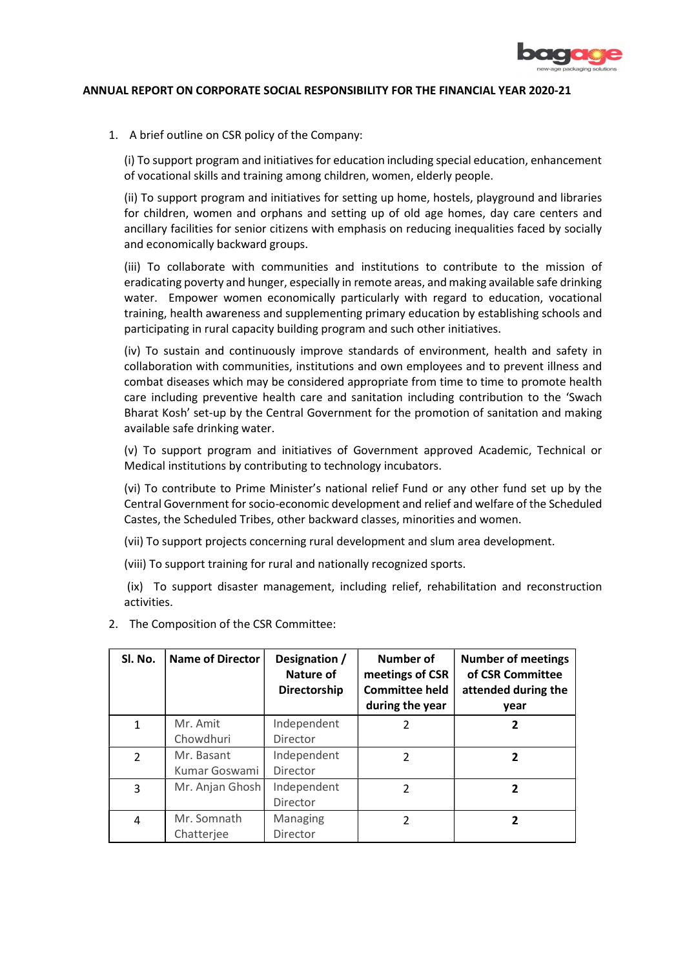

## ANNUAL REPORT ON CORPORATE SOCIAL RESPONSIBILITY FOR THE FINANCIAL YEAR 2020-21

1. A brief outline on CSR policy of the Company:

(i) To support program and initiatives for education including special education, enhancement of vocational skills and training among children, women, elderly people.

(ii) To support program and initiatives for setting up home, hostels, playground and libraries for children, women and orphans and setting up of old age homes, day care centers and ancillary facilities for senior citizens with emphasis on reducing inequalities faced by socially and economically backward groups.

(iii) To collaborate with communities and institutions to contribute to the mission of eradicating poverty and hunger, especially in remote areas, and making available safe drinking water. Empower women economically particularly with regard to education, vocational training, health awareness and supplementing primary education by establishing schools and participating in rural capacity building program and such other initiatives.

(iv) To sustain and continuously improve standards of environment, health and safety in collaboration with communities, institutions and own employees and to prevent illness and combat diseases which may be considered appropriate from time to time to promote health care including preventive health care and sanitation including contribution to the 'Swach Bharat Kosh' set-up by the Central Government for the promotion of sanitation and making available safe drinking water.

(v) To support program and initiatives of Government approved Academic, Technical or Medical institutions by contributing to technology incubators.

(vi) To contribute to Prime Minister's national relief Fund or any other fund set up by the Central Government for socio-economic development and relief and welfare of the Scheduled Castes, the Scheduled Tribes, other backward classes, minorities and women.

(vii) To support projects concerning rural development and slum area development.

(viii) To support training for rural and nationally recognized sports.

 (ix) To support disaster management, including relief, rehabilitation and reconstruction activities.

| Sl. No.        | <b>Name of Director</b>     | Designation /<br>Nature of<br>Directorship | Number of<br>meetings of CSR<br><b>Committee held</b><br>during the year | <b>Number of meetings</b><br>of CSR Committee<br>attended during the<br>year |
|----------------|-----------------------------|--------------------------------------------|--------------------------------------------------------------------------|------------------------------------------------------------------------------|
| $\mathbf{1}$   | Mr. Amit<br>Chowdhuri       | Independent<br>Director                    | 2                                                                        | 2                                                                            |
| $\overline{2}$ | Mr. Basant<br>Kumar Goswami | Independent<br>Director                    | 2                                                                        | 2                                                                            |
| 3              | Mr. Anjan Ghosh             | Independent<br>Director                    | 2                                                                        | 2                                                                            |
| 4              | Mr. Somnath<br>Chatterjee   | Managing<br>Director                       | $\mathcal{P}$                                                            | 2                                                                            |

2. The Composition of the CSR Committee: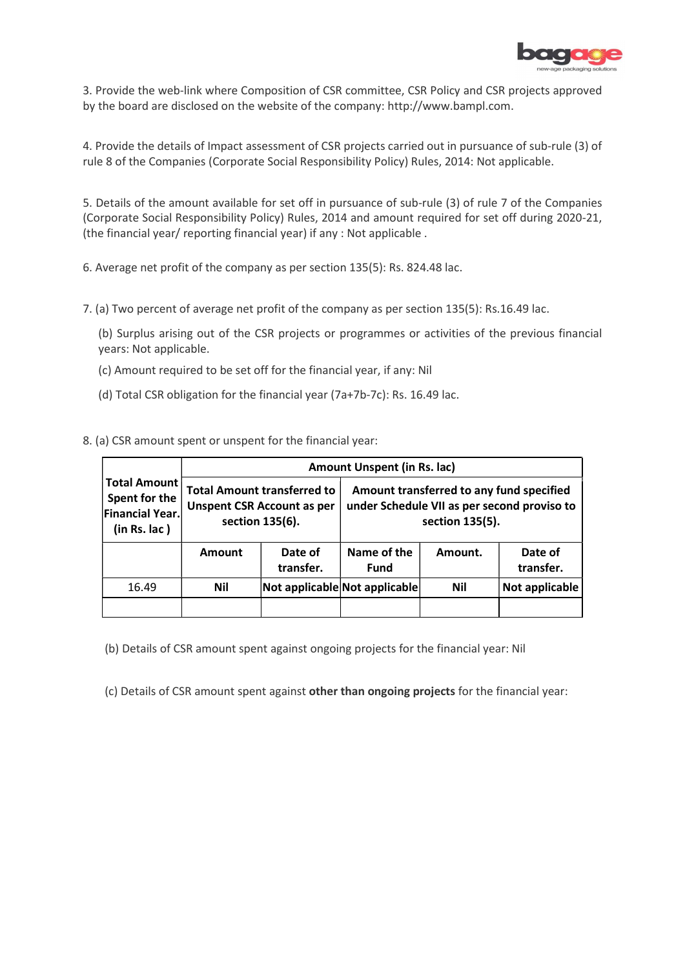

3. Provide the web-link where Composition of CSR committee, CSR Policy and CSR projects approved by the board are disclosed on the website of the company: http://www.bampl.com.

4. Provide the details of Impact assessment of CSR projects carried out in pursuance of sub-rule (3) of rule 8 of the Companies (Corporate Social Responsibility Policy) Rules, 2014: Not applicable.

5. Details of the amount available for set off in pursuance of sub-rule (3) of rule 7 of the Companies (Corporate Social Responsibility Policy) Rules, 2014 and amount required for set off during 2020-21, (the financial year/ reporting financial year) if any : Not applicable .

6. Average net profit of the company as per section 135(5): Rs. 824.48 lac.

7. (a) Two percent of average net profit of the company as per section 135(5): Rs.16.49 lac.

(b) Surplus arising out of the CSR projects or programmes or activities of the previous financial years: Not applicable.

- (c) Amount required to be set off for the financial year, if any: Nil
- (d) Total CSR obligation for the financial year (7a+7b-7c): Rs. 16.49 lac.

8. (a) CSR amount spent or unspent for the financial year:

|                                                                             | Amount Unspent (in Rs. lac) |                                                                                            |                                                                                                            |            |                      |  |  |  |
|-----------------------------------------------------------------------------|-----------------------------|--------------------------------------------------------------------------------------------|------------------------------------------------------------------------------------------------------------|------------|----------------------|--|--|--|
| <b>Total Amount</b><br>Spent for the<br>Financial Year.<br>$(in Rs.$ $lac)$ |                             | <b>Total Amount transferred to</b><br><b>Unspent CSR Account as per</b><br>section 135(6). | Amount transferred to any fund specified<br>under Schedule VII as per second proviso to<br>section 135(5). |            |                      |  |  |  |
|                                                                             | <b>Amount</b>               | Date of<br>transfer.                                                                       | Name of the<br><b>Fund</b>                                                                                 | Amount.    | Date of<br>transfer. |  |  |  |
| 16.49                                                                       | Nil                         | Not applicable Not applicable                                                              |                                                                                                            | <b>Nil</b> | Not applicable       |  |  |  |
|                                                                             |                             |                                                                                            |                                                                                                            |            |                      |  |  |  |

(b) Details of CSR amount spent against ongoing projects for the financial year: Nil

(c) Details of CSR amount spent against other than ongoing projects for the financial year: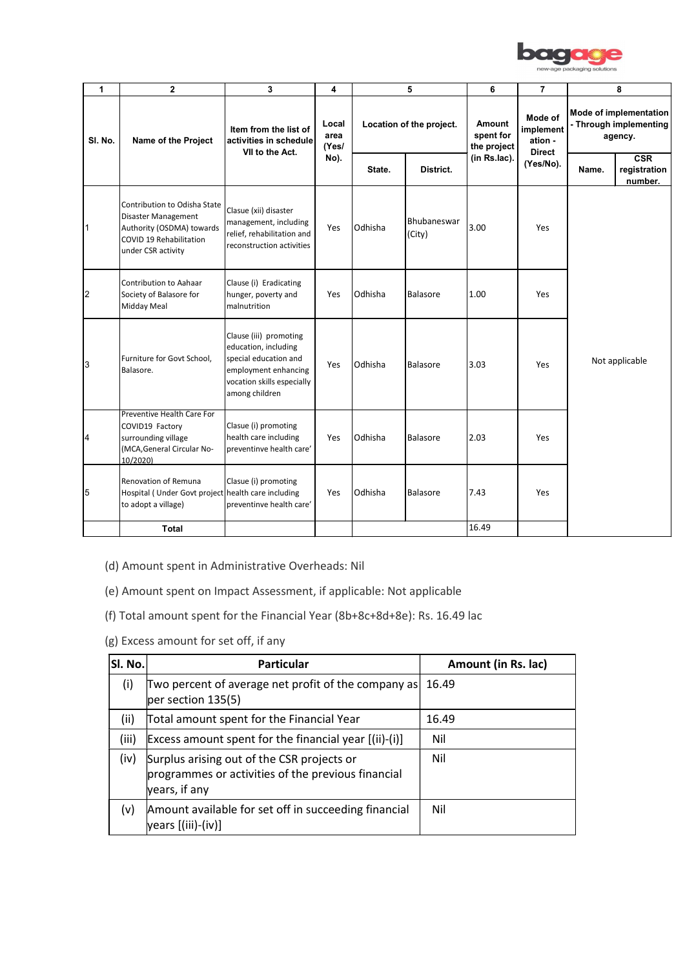

|                |                                                                                                                                   |                                                                                                           |                                                                                                                                                                                                                                                                                                          |         |                          |                                    |                                                  | new-age packaging solutions                                 |  |
|----------------|-----------------------------------------------------------------------------------------------------------------------------------|-----------------------------------------------------------------------------------------------------------|----------------------------------------------------------------------------------------------------------------------------------------------------------------------------------------------------------------------------------------------------------------------------------------------------------|---------|--------------------------|------------------------------------|--------------------------------------------------|-------------------------------------------------------------|--|
| $\mathbf{1}$   | $\overline{2}$                                                                                                                    | $\mathbf{3}$                                                                                              | $\overline{\mathbf{4}}$                                                                                                                                                                                                                                                                                  |         | 5                        | 6                                  | $\overline{7}$                                   | 8                                                           |  |
| SI. No.        | Name of the Project                                                                                                               | Item from the list of<br>activities in schedule<br>VII to the Act.                                        | Local<br>area<br>(Yes/                                                                                                                                                                                                                                                                                   |         | Location of the project. | Amount<br>spent for<br>the project | Mode of<br>implement<br>ation -<br><b>Direct</b> | Mode of implementation<br>- Through implementing<br>agency. |  |
|                |                                                                                                                                   |                                                                                                           | No).                                                                                                                                                                                                                                                                                                     | State.  | District.                | (in Rs.lac).                       | (Yes/No).                                        | CSR<br>Name.<br>registration<br>number.                     |  |
| $\mathbf{1}$   | Contribution to Odisha State<br>Disaster Management<br>Authority (OSDMA) towards<br>COVID 19 Rehabilitation<br>under CSR activity | Clasue (xii) disaster<br>management, including<br>relief, rehabilitation and<br>reconstruction activities | Yes                                                                                                                                                                                                                                                                                                      | Odhisha | Bhubaneswar<br>(City)    | 3.00                               | Yes                                              |                                                             |  |
| $\overline{2}$ | Contribution to Aahaar<br>Society of Balasore for<br>Midday Meal                                                                  | Clause (i) Eradicating<br>hunger, poverty and<br>malnutrition                                             | Yes                                                                                                                                                                                                                                                                                                      | Odhisha | Balasore                 | 1.00                               | Yes                                              |                                                             |  |
| $\mathbf{3}$   |                                                                                                                                   | vocation skills especially                                                                                | Yes                                                                                                                                                                                                                                                                                                      | Odhisha | Balasore                 |                                    | Yes                                              | Not applicable                                              |  |
| $\overline{4}$ | Preventive Health Care For<br>COVID19 Factory<br>surrounding village<br>(MCA, General Circular No-<br>10/2020)                    |                                                                                                           | Yes                                                                                                                                                                                                                                                                                                      | Odhisha | Balasore                 | 2.03                               | Yes                                              |                                                             |  |
|                | Renovation of Remuna<br>to adopt a village)                                                                                       |                                                                                                           | Yes                                                                                                                                                                                                                                                                                                      | Odhisha | Balasore                 | 7.43                               | Yes                                              |                                                             |  |
|                |                                                                                                                                   |                                                                                                           |                                                                                                                                                                                                                                                                                                          |         |                          |                                    |                                                  |                                                             |  |
|                | $5\overline{)}$                                                                                                                   | Furniture for Govt School,<br>Balasore.                                                                   | Clause (iii) promoting<br>education, including<br>special education and<br>employment enhancing<br>among children<br>Clasue (i) promoting<br>health care including<br>preventinve health care'<br>Clasue (i) promoting<br>Hospital (Under Govt project health care including<br>preventinve health care' |         |                          |                                    | 3.03                                             |                                                             |  |

- (d) Amount spent in Administrative Overheads: Nil
- (e) Amount spent on Impact Assessment, if applicable: Not applicable
- (f) Total amount spent for the Financial Year (8b+8c+8d+8e): Rs. 16.49 lac
- (g) Excess amount for set off, if any

| SI. No. | <b>Particular</b>                                                                                                 | Amount (in Rs. lac) |
|---------|-------------------------------------------------------------------------------------------------------------------|---------------------|
| (i)     | Two percent of average net profit of the company as<br>per section 135(5)                                         | 16.49               |
| (ii)    | Total amount spent for the Financial Year                                                                         | 16.49               |
| (iii)   | Excess amount spent for the financial year [(ii)-(i)]                                                             | Nil                 |
| (iv)    | Surplus arising out of the CSR projects or<br>programmes or activities of the previous financial<br>years, if any | Nil                 |
| (v)     | Amount available for set off in succeeding financial<br>/ears [(iii)-(iv)]                                        | Nil                 |